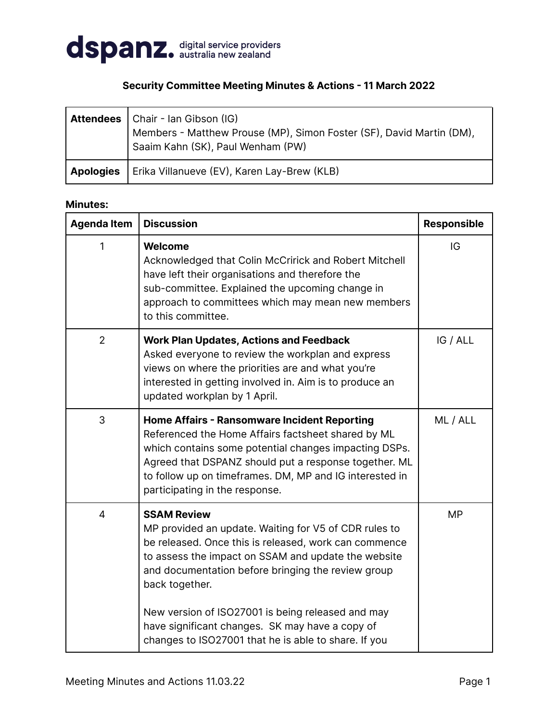

## **Security Committee Meeting Minutes & Actions - 11 March 2022**

|                  | <b>Attendees</b>   Chair - Ian Gibson (IG)<br>Members - Matthew Prouse (MP), Simon Foster (SF), David Martin (DM),<br>Saaim Kahn (SK), Paul Wenham (PW) |
|------------------|---------------------------------------------------------------------------------------------------------------------------------------------------------|
| <b>Apologies</b> | Erika Villanueve (EV), Karen Lay-Brew (KLB)                                                                                                             |

## **Minutes:**

| <b>Agenda Item</b> | <b>Discussion</b>                                                                                                                                                                                                                                                                                                        | <b>Responsible</b> |
|--------------------|--------------------------------------------------------------------------------------------------------------------------------------------------------------------------------------------------------------------------------------------------------------------------------------------------------------------------|--------------------|
| $\mathbf{1}$       | Welcome<br>Acknowledged that Colin McCririck and Robert Mitchell<br>have left their organisations and therefore the<br>sub-committee. Explained the upcoming change in<br>approach to committees which may mean new members<br>to this committee.                                                                        | IG                 |
| 2                  | <b>Work Plan Updates, Actions and Feedback</b><br>Asked everyone to review the workplan and express<br>views on where the priorities are and what you're<br>interested in getting involved in. Aim is to produce an<br>updated workplan by 1 April.                                                                      | IG / ALL           |
| 3                  | <b>Home Affairs - Ransomware Incident Reporting</b><br>Referenced the Home Affairs factsheet shared by ML<br>which contains some potential changes impacting DSPs.<br>Agreed that DSPANZ should put a response together. ML<br>to follow up on timeframes. DM, MP and IG interested in<br>participating in the response. | ML / ALL           |
| $\overline{4}$     | <b>SSAM Review</b><br>MP provided an update. Waiting for V5 of CDR rules to<br>be released. Once this is released, work can commence<br>to assess the impact on SSAM and update the website<br>and documentation before bringing the review group<br>back together.                                                      | <b>MP</b>          |
|                    | New version of ISO27001 is being released and may<br>have significant changes. SK may have a copy of<br>changes to ISO27001 that he is able to share. If you                                                                                                                                                             |                    |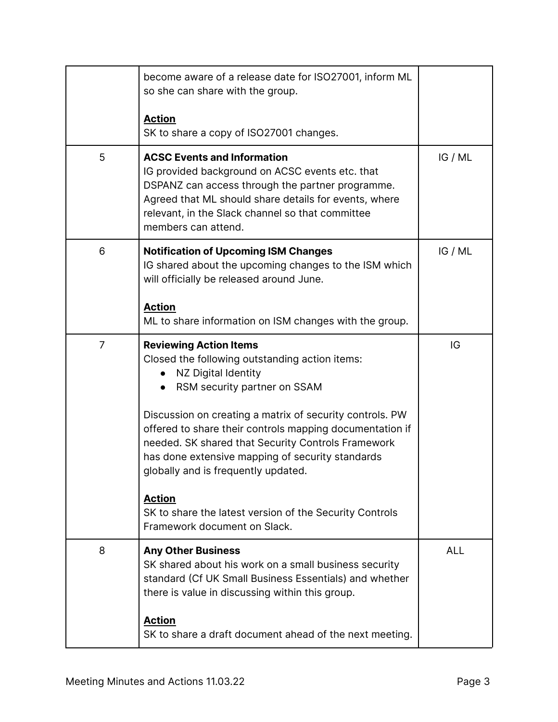|                | become aware of a release date for ISO27001, inform ML<br>so she can share with the group.                                                                                                                                                                                    |            |
|----------------|-------------------------------------------------------------------------------------------------------------------------------------------------------------------------------------------------------------------------------------------------------------------------------|------------|
|                | <b>Action</b><br>SK to share a copy of ISO27001 changes.                                                                                                                                                                                                                      |            |
| 5              | <b>ACSC Events and Information</b><br>IG provided background on ACSC events etc. that<br>DSPANZ can access through the partner programme.<br>Agreed that ML should share details for events, where<br>relevant, in the Slack channel so that committee<br>members can attend. | IG/ML      |
| 6              | <b>Notification of Upcoming ISM Changes</b><br>IG shared about the upcoming changes to the ISM which<br>will officially be released around June.                                                                                                                              | IG/ML      |
|                | <b>Action</b><br>ML to share information on ISM changes with the group.                                                                                                                                                                                                       |            |
| $\overline{7}$ | <b>Reviewing Action Items</b><br>Closed the following outstanding action items:<br>NZ Digital Identity<br>RSM security partner on SSAM                                                                                                                                        | IG         |
|                | Discussion on creating a matrix of security controls. PW<br>offered to share their controls mapping documentation if<br>needed. SK shared that Security Controls Framework<br>has done extensive mapping of security standards<br>globally and is frequently updated.         |            |
|                | <b>Action</b><br>SK to share the latest version of the Security Controls<br>Framework document on Slack.                                                                                                                                                                      |            |
| 8              | <b>Any Other Business</b><br>SK shared about his work on a small business security<br>standard (Cf UK Small Business Essentials) and whether<br>there is value in discussing within this group.                                                                               | <b>ALL</b> |
|                | <b>Action</b><br>SK to share a draft document ahead of the next meeting.                                                                                                                                                                                                      |            |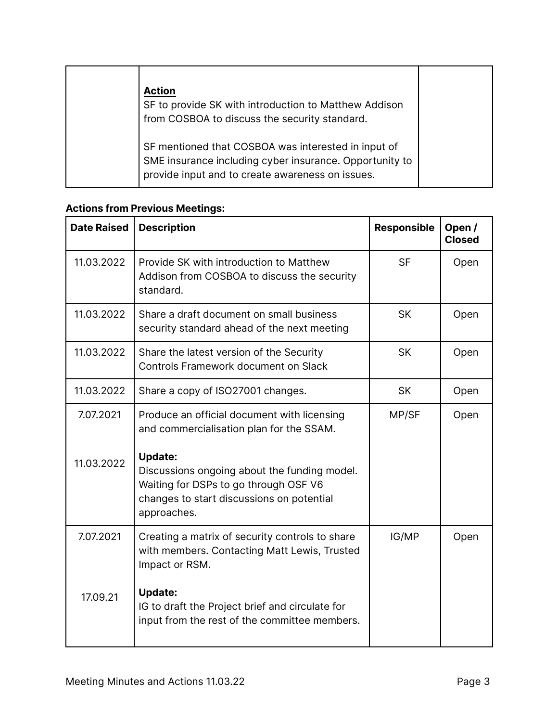| <b>Action</b><br>SF to provide SK with introduction to Matthew Addison<br>from COSBOA to discuss the security standard.                                            |  |
|--------------------------------------------------------------------------------------------------------------------------------------------------------------------|--|
| SF mentioned that COSBOA was interested in input of<br>SME insurance including cyber insurance. Opportunity to<br>provide input and to create awareness on issues. |  |

## **Actions from Previous Meetings:**

| <b>Date Raised</b> | <b>Description</b>                                                                                                                                                  | <b>Responsible</b> | Open/<br><b>Closed</b> |
|--------------------|---------------------------------------------------------------------------------------------------------------------------------------------------------------------|--------------------|------------------------|
| 11.03.2022         | Provide SK with introduction to Matthew<br>Addison from COSBOA to discuss the security<br>standard.                                                                 | <b>SF</b>          | Open                   |
| 11.03.2022         | Share a draft document on small business<br>security standard ahead of the next meeting                                                                             | <b>SK</b>          | Open                   |
| 11.03.2022         | Share the latest version of the Security<br><b>Controls Framework document on Slack</b>                                                                             | <b>SK</b>          | Open                   |
| 11.03.2022         | Share a copy of ISO27001 changes.                                                                                                                                   | <b>SK</b>          | Open                   |
| 7.07.2021          | Produce an official document with licensing<br>and commercialisation plan for the SSAM.                                                                             | MP/SF              | Open                   |
| 11.03.2022         | <b>Update:</b><br>Discussions ongoing about the funding model.<br>Waiting for DSPs to go through OSF V6<br>changes to start discussions on potential<br>approaches. |                    |                        |
| 7.07.2021          | Creating a matrix of security controls to share<br>with members. Contacting Matt Lewis, Trusted<br>Impact or RSM.                                                   | IG/MP              | Open                   |
| 17.09.21           | <b>Update:</b><br>IG to draft the Project brief and circulate for<br>input from the rest of the committee members.                                                  |                    |                        |